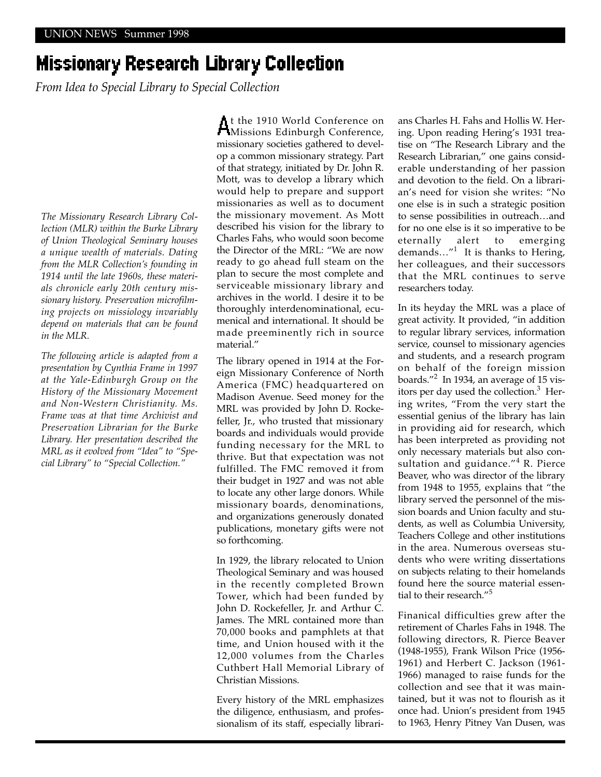## Missionary Research Library Collection

*From Idea to Special Library to Special Collection*

*The Missionary Research Library Collection (MLR) within the Burke Library of Union Theological Seminary houses a unique wealth of materials. Dating from the MLR Collection's founding in 1914 until the late 1960s, these materials chronicle early 20th century missionary history. Preservation microfilming projects on missiology invariably depend on materials that can be found in the MLR.*

*The following article is adapted from a presentation by Cynthia Frame in 1997 at the Yale-Edinburgh Group on the History of the Missionary Movement and Non-Western Christianity. Ms. Frame was at that time Archivist and Preservation Librarian for the Burke Library. Her presentation described the MRL as it evolved from "Idea" to "Special Library" to "Special Collection."*

At the 1910 World Conference on Missions Edinburgh Conference, missionary societies gathered to develop a common missionary strategy. Part of that strategy, initiated by Dr. John R. Mott, was to develop a library which would help to prepare and support missionaries as well as to document the missionary movement. As Mott described his vision for the library to Charles Fahs, who would soon become the Director of the MRL: "We are now ready to go ahead full steam on the plan to secure the most complete and serviceable missionary library and archives in the world. I desire it to be thoroughly interdenominational, ecumenical and international. It should be made preeminently rich in source material."

The library opened in 1914 at the Foreign Missionary Conference of North America (FMC) headquartered on Madison Avenue. Seed money for the MRL was provided by John D. Rockefeller, Jr., who trusted that missionary boards and individuals would provide funding necessary for the MRL to thrive. But that expectation was not fulfilled. The FMC removed it from their budget in 1927 and was not able to locate any other large donors. While missionary boards, denominations, and organizations generously donated publications, monetary gifts were not so forthcoming.

In 1929, the library relocated to Union Theological Seminary and was housed in the recently completed Brown Tower, which had been funded by John D. Rockefeller, Jr. and Arthur C. James. The MRL contained more than 70,000 books and pamphlets at that time, and Union housed with it the 12,000 volumes from the Charles Cuthbert Hall Memorial Library of Christian Missions.

Every history of the MRL emphasizes the diligence, enthusiasm, and professionalism of its staff, especially librarians Charles H. Fahs and Hollis W. Hering. Upon reading Hering's 1931 treatise on "The Research Library and the Research Librarian," one gains considerable understanding of her passion and devotion to the field. On a librarian's need for vision she writes: "No one else is in such a strategic position to sense possibilities in outreach…and for no one else is it so imperative to be eternally alert to emerging demands…"<sup>1</sup> It is thanks to Hering, her colleagues, and their successors that the MRL continues to serve researchers today.

In its heyday the MRL was a place of great activity. It provided, "in addition to regular library services, information service, counsel to missionary agencies and students, and a research program on behalf of the foreign mission boards."2 In 1934, an average of 15 visitors per day used the collection.<sup>3</sup> Hering writes, "From the very start the essential genius of the library has lain in providing aid for research, which has been interpreted as providing not only necessary materials but also consultation and guidance."<sup>4</sup> R. Pierce Beaver, who was director of the library from 1948 to 1955, explains that "the library served the personnel of the mission boards and Union faculty and students, as well as Columbia University, Teachers College and other institutions in the area. Numerous overseas students who were writing dissertations on subjects relating to their homelands found here the source material essential to their research."<sup>5</sup>

Finanical difficulties grew after the retirement of Charles Fahs in 1948. The following directors, R. Pierce Beaver (1948-1955), Frank Wilson Price (1956- 1961) and Herbert C. Jackson (1961- 1966) managed to raise funds for the collection and see that it was maintained, but it was not to flourish as it once had. Union's president from 1945 to 1963, Henry Pitney Van Dusen, was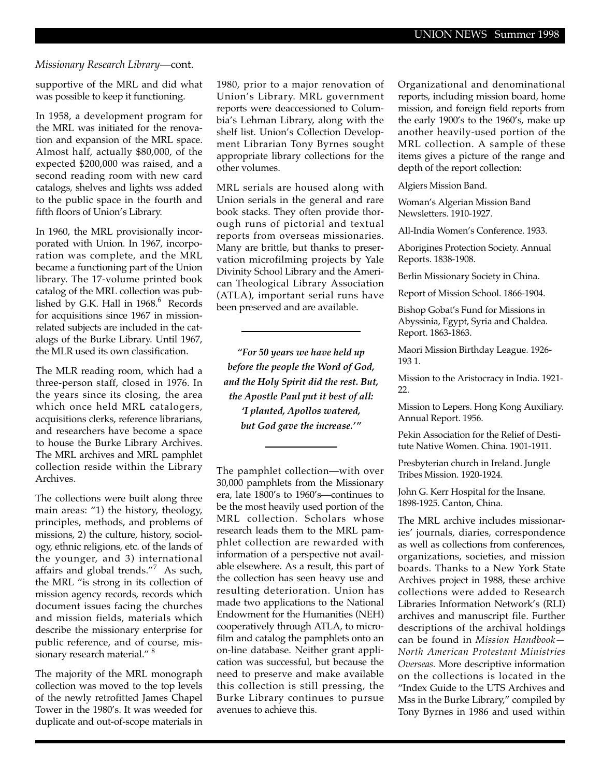## *Missionary Research Library*—cont.

supportive of the MRL and did what was possible to keep it functioning.

In 1958, a development program for the MRL was initiated for the renovation and expansion of the MRL space. Almost half, actually \$80,000, of the expected \$200,000 was raised, and a second reading room with new card catalogs, shelves and lights wss added to the public space in the fourth and fifth floors of Union's Library.

In 1960, the MRL provisionally incorporated with Union. In 1967, incorporation was complete, and the MRL became a functioning part of the Union library. The 17-volume printed book catalog of the MRL collection was published by G.K. Hall in 1968.<sup>6</sup> Records for acquisitions since 1967 in missionrelated subjects are included in the catalogs of the Burke Library. Until 1967, the MLR used its own classification.

The MLR reading room, which had a three-person staff, closed in 1976. In the years since its closing, the area which once held MRL catalogers, acquisitions clerks, reference librarians, and researchers have become a space to house the Burke Library Archives. The MRL archives and MRL pamphlet collection reside within the Library Archives.

The collections were built along three main areas: "1) the history, theology, principles, methods, and problems of missions, 2) the culture, history, sociology, ethnic religions, etc. of the lands of the younger, and 3) international affairs and global trends."<sup>7</sup> As such, the MRL "is strong in its collection of mission agency records, records which document issues facing the churches and mission fields, materials which describe the missionary enterprise for public reference, and of course, missionary research material." <sup>8</sup>

The majority of the MRL monograph collection was moved to the top levels of the newly retrofitted James Chapel Tower in the 1980's. It was weeded for duplicate and out-of-scope materials in 1980, prior to a major renovation of Union's Library. MRL government reports were deaccessioned to Columbia's Lehman Library, along with the shelf list. Union's Collection Development Librarian Tony Byrnes sought appropriate library collections for the other volumes.

MRL serials are housed along with Union serials in the general and rare book stacks. They often provide thorough runs of pictorial and textual reports from overseas missionaries. Many are brittle, but thanks to preservation microfilming projects by Yale Divinity School Library and the American Theological Library Association (ATLA), important serial runs have been preserved and are available.

*"For 50 years we have held up before the people the Word of God, and the Holy Spirit did the rest. But, the Apostle Paul put it best of all: 'I planted, Apollos watered, but God gave the increase.'"* 

The pamphlet collection—with over 30,000 pamphlets from the Missionary era, late 1800's to 1960's—continues to be the most heavily used portion of the MRL collection. Scholars whose research leads them to the MRL pamphlet collection are rewarded with information of a perspective not available elsewhere. As a result, this part of the collection has seen heavy use and resulting deterioration. Union has made two applications to the National Endowment for the Humanities (NEH) cooperatively through ATLA, to microfilm and catalog the pamphlets onto an on-line database. Neither grant application was successful, but because the need to preserve and make available this collection is still pressing, the Burke Library continues to pursue avenues to achieve this.

Organizational and denominational reports, including mission board, home mission, and foreign field reports from the early 1900's to the 1960's, make up another heavily-used portion of the MRL collection. A sample of these items gives a picture of the range and depth of the report collection:

Algiers Mission Band.

Woman's Algerian Mission Band Newsletters. 1910-1927.

All-India Women's Conference. 1933.

Aborigines Protection Society. Annual Reports. 1838-1908.

Berlin Missionary Society in China.

Report of Mission School. 1866-1904.

Bishop Gobat's Fund for Missions in Abyssinia, Egypt, Syria and Chaldea. Report. 1863-1863.

Maori Mission Birthday League. 1926- 193 1.

Mission to the Aristocracy in India. 1921- 22.

Mission to Lepers. Hong Kong Auxiliary. Annual Report. 1956.

Pekin Association for the Relief of Destitute Native Women. China. 1901-1911.

Presbyterian church in Ireland. Jungle Tribes Mission. 1920-1924.

John G. Kerr Hospital for the Insane. 1898-1925. Canton, China.

The MRL archive includes missionaries' journals, diaries, correspondence as well as collections from conferences, organizations, societies, and mission boards. Thanks to a New York State Archives project in 1988, these archive collections were added to Research Libraries Information Network's (RLI) archives and manuscript file. Further descriptions of the archival holdings can be found in *Mission Handbook— North American Protestant Ministries Overseas.* More descriptive information on the collections is located in the "Index Guide to the UTS Archives and Mss in the Burke Library," compiled by Tony Byrnes in 1986 and used within